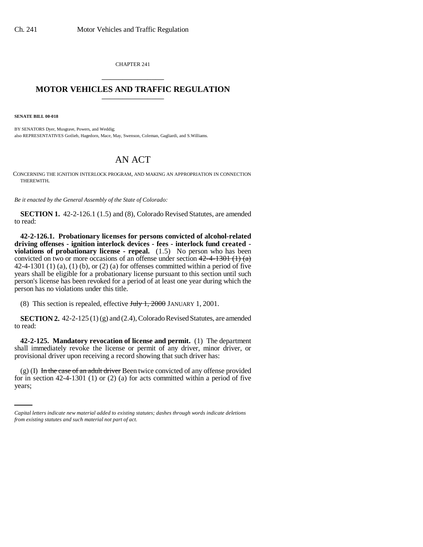CHAPTER 241 \_\_\_\_\_\_\_\_\_\_\_\_\_\_\_

## **MOTOR VEHICLES AND TRAFFIC REGULATION** \_\_\_\_\_\_\_\_\_\_\_\_\_\_\_

**SENATE BILL 00-018** 

BY SENATORS Dyer, Musgrave, Powers, and Weddig; also REPRESENTATIVES Gotlieb, Hagedorn, Mace, May, Swenson, Coleman, Gagliardi, and S.Williams.

## AN ACT

CONCERNING THE IGNITION INTERLOCK PROGRAM, AND MAKING AN APPROPRIATION IN CONNECTION THEREWITH.

*Be it enacted by the General Assembly of the State of Colorado:*

**SECTION 1.** 42-2-126.1 (1.5) and (8), Colorado Revised Statutes, are amended to read:

**42-2-126.1. Probationary licenses for persons convicted of alcohol-related driving offenses - ignition interlock devices - fees - interlock fund created**  violations of probationary license - repeal. (1.5) No person who has been convicted on two or more occasions of an offense under section  $42-4-1301$  (1) (a) 42-4-1301 (1) (a), (1) (b), or (2) (a) for offenses committed within a period of five years shall be eligible for a probationary license pursuant to this section until such person's license has been revoked for a period of at least one year during which the person has no violations under this title.

(8) This section is repealed, effective  $J_{\text{t}}/J_{\text{t}}$ , 2000 JANUARY 1, 2001.

**SECTION 2.** 42-2-125 (1) (g) and (2.4), Colorado Revised Statutes, are amended to read:

**42-2-125. Mandatory revocation of license and permit.** (1) The department shall immediately revoke the license or permit of any driver, minor driver, or provisional driver upon receiving a record showing that such driver has:

(g) (I) In the case of an adult driver Been twice convicted of any offense provided for in section 42-4-1301 (1) or (2) (a) for acts committed within a period of five years;

*Capital letters indicate new material added to existing statutes; dashes through words indicate deletions from existing statutes and such material not part of act.*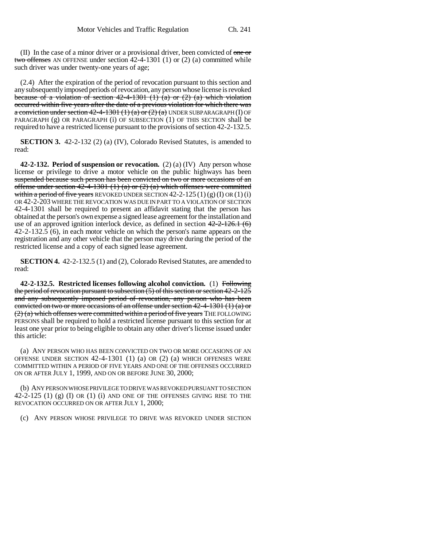$(II)$  In the case of a minor driver or a provisional driver, been convicted of one or two offenses AN OFFENSE under section 42-4-1301 (1) or (2) (a) committed while such driver was under twenty-one years of age;

(2.4) After the expiration of the period of revocation pursuant to this section and any subsequently imposed periods of revocation, any person whose license is revoked because of a violation of section  $42-4-1301$  (1) (a) or (2) (a) which violation occurred within five years after the date of a previous violation for which there was a conviction under section  $42-4-1301(1)(a)$  or  $(2)(a)$  UNDER SUBPARAGRAPH (I) OF PARAGRAPH (g) OR PARAGRAPH (i) OF SUBSECTION (1) OF THIS SECTION shall be required to have a restricted license pursuant to the provisions of section 42-2-132.5.

**SECTION 3.** 42-2-132 (2) (a) (IV), Colorado Revised Statutes, is amended to read:

**42-2-132. Period of suspension or revocation.** (2) (a) (IV) Any person whose license or privilege to drive a motor vehicle on the public highways has been suspended because such person has been convicted on two or more occasions of an offense under section 42-4-1301 (1) (a) or  $(2)$  (a) which offenses were committed within a period of five years REVOKED UNDER SECTION  $42-2-125(1)(g)(I)$  OR  $(1)(i)$ OR 42-2-203 WHERE THE REVOCATION WAS DUE IN PART TO A VIOLATION OF SECTION 42-4-1301 shall be required to present an affidavit stating that the person has obtained at the person's own expense a signed lease agreement for the installation and use of an approved ignition interlock device, as defined in section  $42-2-126.1$  (6)  $42-2-132.5$  (6), in each motor vehicle on which the person's name appears on the registration and any other vehicle that the person may drive during the period of the restricted license and a copy of each signed lease agreement.

**SECTION 4.** 42-2-132.5 (1) and (2), Colorado Revised Statutes, are amended to read:

**42-2-132.5. Restricted licenses following alcohol conviction.** (1) Following the period of revocation pursuant to subsection (5) of this section or section 42-2-125 and any subsequently imposed period of revocation, any person who has been convicted on two or more occasions of an offense under section  $42-4-1301(1)$  (a) or  $(2)$  (a) which offenses were committed within a period of five years THE FOLLOWING PERSONS shall be required to hold a restricted license pursuant to this section for at least one year prior to being eligible to obtain any other driver's license issued under this article:

(a) ANY PERSON WHO HAS BEEN CONVICTED ON TWO OR MORE OCCASIONS OF AN OFFENSE UNDER SECTION 42-4-1301 (1) (a) OR (2) (a) WHICH OFFENSES WERE COMMITTED WITHIN A PERIOD OF FIVE YEARS AND ONE OF THE OFFENSES OCCURRED ON OR AFTER JULY 1, 1999, AND ON OR BEFORE JUNE 30, 2000;

(b) ANY PERSON WHOSE PRIVILEGE TO DRIVE WAS REVOKED PURSUANT TO SECTION  $42-2-125$  (1) (g) (I) OR (1) (i) AND ONE OF THE OFFENSES GIVING RISE TO THE REVOCATION OCCURRED ON OR AFTER JULY 1, 2000;

(c) ANY PERSON WHOSE PRIVILEGE TO DRIVE WAS REVOKED UNDER SECTION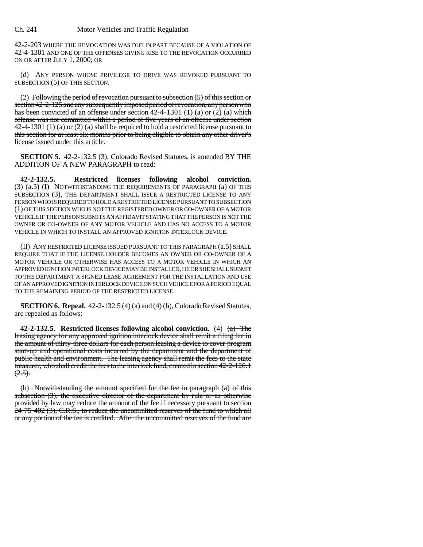42-2-203 WHERE THE REVOCATION WAS DUE IN PART BECAUSE OF A VIOLATION OF 42-4-1301 AND ONE OF THE OFFENSES GIVING RISE TO THE REVOCATION OCCURRED ON OR AFTER JULY 1, 2000; OR

(d) ANY PERSON WHOSE PRIVILEGE TO DRIVE WAS REVOKED PURSUANT TO SUBSECTION (5) OF THIS SECTION.

(2) Following the period of revocation pursuant to subsection  $(5)$  of this section or section 42-2-125 and any subsequently imposed period of revocation, any person who has been convicted of an offense under section  $42-4-1301$  (1) (a) or (2) (a) which offense was not committed within a period of five years of an offense under section  $42-4-1301$  (1) (a) or (2) (a) shall be required to hold a restricted license pursuant to this section for at least six months prior to being eligible to obtain any other driver's license issued under this article.

**SECTION 5.** 42-2-132.5 (3), Colorado Revised Statutes, is amended BY THE ADDITION OF A NEW PARAGRAPH to read:

**42-2-132.5. Restricted licenses following alcohol conviction.** (3) (a.5) (I) NOTWITHSTANDING THE REQUIREMENTS OF PARAGRAPH (a) OF THIS SUBSECTION (3), THE DEPARTMENT SHALL ISSUE A RESTRICTED LICENSE TO ANY PERSON WHO IS REQUIRED TO HOLD A RESTRICTED LICENSE PURSUANT TO SUBSECTION (1) OF THIS SECTION WHO IS NOT THE REGISTERED OWNER OR CO-OWNER OF A MOTOR VEHICLE IF THE PERSON SUBMITS AN AFFIDAVIT STATING THAT THE PERSON IS NOT THE OWNER OR CO-OWNER OF ANY MOTOR VEHICLE AND HAS NO ACCESS TO A MOTOR VEHICLE IN WHICH TO INSTALL AN APPROVED IGNITION INTERLOCK DEVICE.

(II) ANY RESTRICTED LICENSE ISSUED PURSUANT TO THIS PARAGRAPH (a.5) SHALL REQUIRE THAT IF THE LICENSE HOLDER BECOMES AN OWNER OR CO-OWNER OF A MOTOR VEHICLE OR OTHERWISE HAS ACCESS TO A MOTOR VEHICLE IN WHICH AN APPROVED IGNITION INTERLOCK DEVICE MAY BE INSTALLED, HE OR SHE SHALL SUBMIT TO THE DEPARTMENT A SIGNED LEASE AGREEMENT FOR THE INSTALLATION AND USE OF AN APPROVED IGNITION INTERLOCK DEVICE ON SUCH VEHICLE FOR A PERIOD EQUAL TO THE REMAINING PERIOD OF THE RESTRICTED LICENSE.

**SECTION 6. Repeal.** 42-2-132.5 (4) (a) and (4) (b), Colorado Revised Statutes, are repealed as follows:

**42-2-132.5. Restricted licenses following alcohol conviction.** (4) (a) The leasing agency for any approved ignition interlock device shall remit a filing fee in the amount of thirty-three dollars for each person leasing a device to cover program start-up and operational costs incurred by the department and the department of public health and environment. The leasing agency shall remit the fees to the state treasurer, who shall credit the fees to the interlock fund, created in section 42-2-126.1  $(2.5)$ .

(b) Notwithstanding the amount specified for the fee in paragraph (a) of this subsection (3), the executive director of the department by rule or as otherwise provided by law may reduce the amount of the fee if necessary pursuant to section  $24-75-402$  (3), C.R.S., to reduce the uncommitted reserves of the fund to which all or any portion of the fee is credited. After the uncommitted reserves of the fund are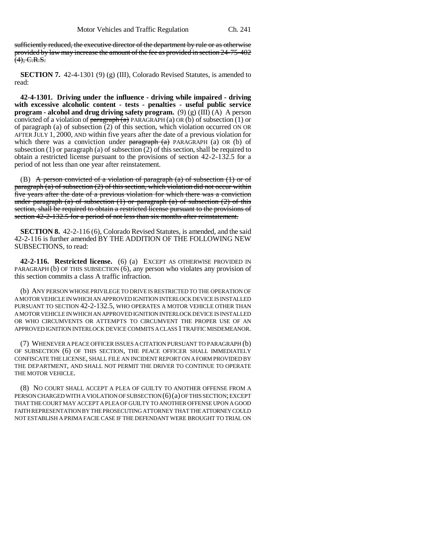sufficiently reduced, the executive director of the department by rule or as otherwise provided by law may increase the amount of the fee as provided in section 24-75-402  $(4)$ , C.R.S.

**SECTION 7.** 42-4-1301 (9) (g) (III), Colorado Revised Statutes, is amended to read:

**42-4-1301. Driving under the influence - driving while impaired - driving with excessive alcoholic content - tests - penalties - useful public service program - alcohol and drug driving safety program.** (9) (g) (III) (A) A person convicted of a violation of  $\frac{\text{b} - \text{b}}{\text{b}}$  PARAGRAPH (a) OR (b) of subsection (1) or of paragraph (a) of subsection (2) of this section, which violation occurred ON OR AFTER JULY 1, 2000, AND within five years after the date of a previous violation for which there was a conviction under  $\frac{\partial^2 u}{\partial x^2} + \frac{\partial^2 u}{\partial y^2} + \frac{\partial^2 u}{\partial z^2} + \frac{\partial^2 u}{\partial x^2} + \frac{\partial^2 u}{\partial y^2} + \frac{\partial^2 u}{\partial x^2} + \frac{\partial^2 u}{\partial y^2} + \frac{\partial^2 u}{\partial x^2} + \frac{\partial^2 u}{\partial y^2} + \frac{\partial^2 u}{\partial y^2} + \frac{\partial^2 u}{\partial y^2} + \frac{\partial^2 u}{\partial x^2} + \frac{\partial^$ subsection (1) or paragraph (a) of subsection (2) of this section, shall be required to obtain a restricted license pursuant to the provisions of section 42-2-132.5 for a period of not less than one year after reinstatement.

(B) A person convicted of a violation of paragraph  $(a)$  of subsection  $(1)$  or of paragraph (a) of subsection (2) of this section, which violation did not occur within five years after the date of a previous violation for which there was a conviction under paragraph (a) of subsection  $(1)$  or paragraph  $(a)$  of subsection  $(2)$  of this section, shall be required to obtain a restricted license pursuant to the provisions of section 42-2-132.5 for a period of not less than six months after reinstatement.

**SECTION 8.** 42-2-116 (6), Colorado Revised Statutes, is amended, and the said 42-2-116 is further amended BY THE ADDITION OF THE FOLLOWING NEW SUBSECTIONS, to read:

**42-2-116. Restricted license.** (6) (a) EXCEPT AS OTHERWISE PROVIDED IN PARAGRAPH (b) OF THIS SUBSECTION (6), any person who violates any provision of this section commits a class A traffic infraction.

(b) ANY PERSON WHOSE PRIVILEGE TO DRIVE IS RESTRICTED TO THE OPERATION OF A MOTOR VEHICLE IN WHICH AN APPROVED IGNITION INTERLOCK DEVICE IS INSTALLED PURSUANT TO SECTION 42-2-132.5, WHO OPERATES A MOTOR VEHICLE OTHER THAN A MOTOR VEHICLE IN WHICH AN APPROVED IGNITION INTERLOCK DEVICE IS INSTALLED OR WHO CIRCUMVENTS OR ATTEMPTS TO CIRCUMVENT THE PROPER USE OF AN APPROVED IGNITION INTERLOCK DEVICE COMMITS A CLASS 1 TRAFFIC MISDEMEANOR.

(7) WHENEVER A PEACE OFFICER ISSUES A CITATION PURSUANT TO PARAGRAPH (b) OF SUBSECTION (6) OF THIS SECTION, THE PEACE OFFICER SHALL IMMEDIATELY CONFISCATE THE LICENSE, SHALL FILE AN INCIDENT REPORT ON A FORM PROVIDED BY THE DEPARTMENT, AND SHALL NOT PERMIT THE DRIVER TO CONTINUE TO OPERATE THE MOTOR VEHICLE.

(8) NO COURT SHALL ACCEPT A PLEA OF GUILTY TO ANOTHER OFFENSE FROM A PERSON CHARGED WITH A VIOLATION OF SUBSECTION (6)(a) OF THIS SECTION; EXCEPT THAT THE COURT MAY ACCEPT A PLEA OF GUILTY TO ANOTHER OFFENSE UPON A GOOD FAITH REPRESENTATION BY THE PROSECUTING ATTORNEY THAT THE ATTORNEY COULD NOT ESTABLISH A PRIMA FACIE CASE IF THE DEFENDANT WERE BROUGHT TO TRIAL ON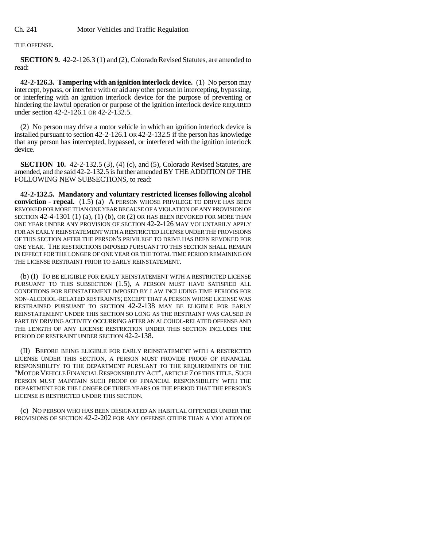THE OFFENSE.

**SECTION 9.** 42-2-126.3 (1) and (2), Colorado Revised Statutes, are amended to read:

**42-2-126.3. Tampering with an ignition interlock device.** (1) No person may intercept, bypass, or interfere with or aid any other person in intercepting, bypassing, or interfering with an ignition interlock device for the purpose of preventing or hindering the lawful operation or purpose of the ignition interlock device REQUIRED under section 42-2-126.1 OR 42-2-132.5.

(2) No person may drive a motor vehicle in which an ignition interlock device is installed pursuant to section 42-2-126.1 OR 42-2-132.5 if the person has knowledge that any person has intercepted, bypassed, or interfered with the ignition interlock device.

**SECTION 10.** 42-2-132.5 (3), (4) (c), and (5), Colorado Revised Statutes, are amended, and the said 42-2-132.5 is further amended BY THE ADDITION OF THE FOLLOWING NEW SUBSECTIONS, to read:

**42-2-132.5. Mandatory and voluntary restricted licenses following alcohol conviction - repeal.** (1.5) (a) A PERSON WHOSE PRIVILEGE TO DRIVE HAS BEEN REVOKED FOR MORE THAN ONE YEAR BECAUSE OF A VIOLATION OF ANY PROVISION OF SECTION  $42-4-1301$  (1) (a), (1) (b), OR (2) OR HAS BEEN REVOKED FOR MORE THAN ONE YEAR UNDER ANY PROVISION OF SECTION 42-2-126 MAY VOLUNTARILY APPLY FOR AN EARLY REINSTATEMENT WITH A RESTRICTED LICENSE UNDER THE PROVISIONS OF THIS SECTION AFTER THE PERSON'S PRIVILEGE TO DRIVE HAS BEEN REVOKED FOR ONE YEAR. THE RESTRICTIONS IMPOSED PURSUANT TO THIS SECTION SHALL REMAIN IN EFFECT FOR THE LONGER OF ONE YEAR OR THE TOTAL TIME PERIOD REMAINING ON THE LICENSE RESTRAINT PRIOR TO EARLY REINSTATEMENT.

(b) (I) TO BE ELIGIBLE FOR EARLY REINSTATEMENT WITH A RESTRICTED LICENSE PURSUANT TO THIS SUBSECTION (1.5), A PERSON MUST HAVE SATISFIED ALL CONDITIONS FOR REINSTATEMENT IMPOSED BY LAW INCLUDING TIME PERIODS FOR NON-ALCOHOL-RELATED RESTRAINTS; EXCEPT THAT A PERSON WHOSE LICENSE WAS RESTRAINED PURSUANT TO SECTION 42-2-138 MAY BE ELIGIBLE FOR EARLY REINSTATEMENT UNDER THIS SECTION SO LONG AS THE RESTRAINT WAS CAUSED IN PART BY DRIVING ACTIVITY OCCURRING AFTER AN ALCOHOL-RELATED OFFENSE AND THE LENGTH OF ANY LICENSE RESTRICTION UNDER THIS SECTION INCLUDES THE PERIOD OF RESTRAINT UNDER SECTION 42-2-138.

(II) BEFORE BEING ELIGIBLE FOR EARLY REINSTATEMENT WITH A RESTRICTED LICENSE UNDER THIS SECTION, A PERSON MUST PROVIDE PROOF OF FINANCIAL RESPONSIBILITY TO THE DEPARTMENT PURSUANT TO THE REQUIREMENTS OF THE "MOTOR VEHICLE FINANCIAL RESPONSIBILITY ACT", ARTICLE 7 OF THIS TITLE. SUCH PERSON MUST MAINTAIN SUCH PROOF OF FINANCIAL RESPONSIBILITY WITH THE DEPARTMENT FOR THE LONGER OF THREE YEARS OR THE PERIOD THAT THE PERSON'S LICENSE IS RESTRICTED UNDER THIS SECTION.

(c) NO PERSON WHO HAS BEEN DESIGNATED AN HABITUAL OFFENDER UNDER THE PROVISIONS OF SECTION 42-2-202 FOR ANY OFFENSE OTHER THAN A VIOLATION OF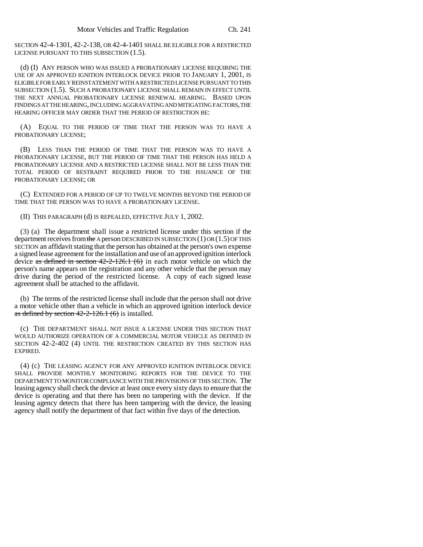SECTION 42-4-1301, 42-2-138, OR 42-4-1401 SHALL BE ELIGIBLE FOR A RESTRICTED LICENSE PURSUANT TO THIS SUBSECTION (1.5).

(d) (I) ANY PERSON WHO WAS ISSUED A PROBATIONARY LICENSE REQUIRING THE USE OF AN APPROVED IGNITION INTERLOCK DEVICE PRIOR TO JANUARY 1, 2001, IS ELIGIBLE FOR EARLY REINSTATEMENT WITH A RESTRICTED LICENSE PURSUANT TO THIS SUBSECTION (1.5). SUCH A PROBATIONARY LICENSE SHALL REMAIN IN EFFECT UNTIL THE NEXT ANNUAL PROBATIONARY LICENSE RENEWAL HEARING. BASED UPON FINDINGS AT THE HEARING, INCLUDING AGGRAVATING AND MITIGATING FACTORS, THE HEARING OFFICER MAY ORDER THAT THE PERIOD OF RESTRICTION BE:

(A) EQUAL TO THE PERIOD OF TIME THAT THE PERSON WAS TO HAVE A PROBATIONARY LICENSE;

(B) LESS THAN THE PERIOD OF TIME THAT THE PERSON WAS TO HAVE A PROBATIONARY LICENSE, BUT THE PERIOD OF TIME THAT THE PERSON HAS HELD A PROBATIONARY LICENSE AND A RESTRICTED LICENSE SHALL NOT BE LESS THAN THE TOTAL PERIOD OF RESTRAINT REQUIRED PRIOR TO THE ISSUANCE OF THE PROBATIONARY LICENSE; OR

(C) EXTENDED FOR A PERIOD OF UP TO TWELVE MONTHS BEYOND THE PERIOD OF TIME THAT THE PERSON WAS TO HAVE A PROBATIONARY LICENSE.

(II) THIS PARAGRAPH (d) IS REPEALED, EFFECTIVE JULY 1, 2002.

(3) (a) The department shall issue a restricted license under this section if the department receives from the A person DESCRIBED IN SUBSECTION  $(1)$  OR  $(1.5)$  OF THIS SECTION an affidavit stating that the person has obtained at the person's own expense a signed lease agreement for the installation and use of an approved ignition interlock device as defined in section  $42-2-126.1$  (6) in each motor vehicle on which the person's name appears on the registration and any other vehicle that the person may drive during the period of the restricted license. A copy of each signed lease agreement shall be attached to the affidavit.

(b) The terms of the restricted license shall include that the person shall not drive a motor vehicle other than a vehicle in which an approved ignition interlock device as defined by section  $42-2-126.1$  (6) is installed.

(c) THE DEPARTMENT SHALL NOT ISSUE A LICENSE UNDER THIS SECTION THAT WOULD AUTHORIZE OPERATION OF A COMMERCIAL MOTOR VEHICLE AS DEFINED IN SECTION 42-2-402 (4) UNTIL THE RESTRICTION CREATED BY THIS SECTION HAS EXPIRED.

(4) (c) THE LEASING AGENCY FOR ANY APPROVED IGNITION INTERLOCK DEVICE SHALL PROVIDE MONTHLY MONITORING REPORTS FOR THE DEVICE TO THE DEPARTMENT TO MONITOR COMPLIANCE WITH THE PROVISIONS OF THIS SECTION. The leasing agency shall check the device at least once every sixty days to ensure that the device is operating and that there has been no tampering with the device. If the leasing agency detects that there has been tampering with the device, the leasing agency shall notify the department of that fact within five days of the detection.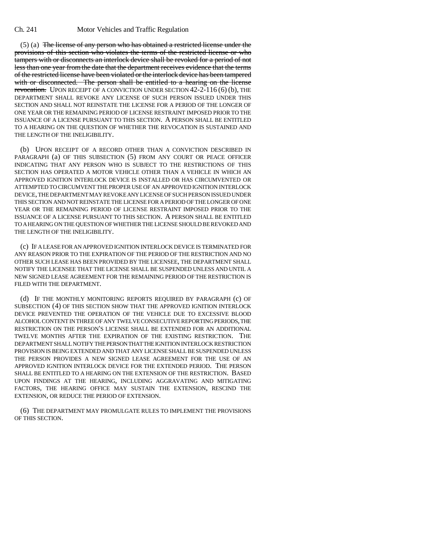(5) (a) The license of any person who has obtained a restricted license under the provisions of this section who violates the terms of the restricted license or who tampers with or disconnects an interlock device shall be revoked for a period of not less than one year from the date that the department receives evidence that the terms of the restricted license have been violated or the interlock device has been tampered with or disconnected. The person shall be entitled to a hearing on the license revocation. UPON RECEIPT OF A CONVICTION UNDER SECTION 42-2-116 (6) (b), THE DEPARTMENT SHALL REVOKE ANY LICENSE OF SUCH PERSON ISSUED UNDER THIS SECTION AND SHALL NOT REINSTATE THE LICENSE FOR A PERIOD OF THE LONGER OF ONE YEAR OR THE REMAINING PERIOD OF LICENSE RESTRAINT IMPOSED PRIOR TO THE ISSUANCE OF A LICENSE PURSUANT TO THIS SECTION. A PERSON SHALL BE ENTITLED TO A HEARING ON THE QUESTION OF WHETHER THE REVOCATION IS SUSTAINED AND THE LENGTH OF THE INELIGIBILITY.

(b) UPON RECEIPT OF A RECORD OTHER THAN A CONVICTION DESCRIBED IN PARAGRAPH (a) OF THIS SUBSECTION (5) FROM ANY COURT OR PEACE OFFICER INDICATING THAT ANY PERSON WHO IS SUBJECT TO THE RESTRICTIONS OF THIS SECTION HAS OPERATED A MOTOR VEHICLE OTHER THAN A VEHICLE IN WHICH AN APPROVED IGNITION INTERLOCK DEVICE IS INSTALLED OR HAS CIRCUMVENTED OR ATTEMPTED TO CIRCUMVENT THE PROPER USE OF AN APPROVED IGNITION INTERLOCK DEVICE, THE DEPARTMENT MAY REVOKE ANY LICENSE OF SUCH PERSON ISSUED UNDER THIS SECTION AND NOT REINSTATE THE LICENSE FOR A PERIOD OF THE LONGER OF ONE YEAR OR THE REMAINING PERIOD OF LICENSE RESTRAINT IMPOSED PRIOR TO THE ISSUANCE OF A LICENSE PURSUANT TO THIS SECTION. A PERSON SHALL BE ENTITLED TO A HEARING ON THE QUESTION OF WHETHER THE LICENSE SHOULD BE REVOKED AND THE LENGTH OF THE INELIGIBILITY.

(c) IF A LEASE FOR AN APPROVED IGNITION INTERLOCK DEVICE IS TERMINATED FOR ANY REASON PRIOR TO THE EXPIRATION OF THE PERIOD OF THE RESTRICTION AND NO OTHER SUCH LEASE HAS BEEN PROVIDED BY THE LICENSEE, THE DEPARTMENT SHALL NOTIFY THE LICENSEE THAT THE LICENSE SHALL BE SUSPENDED UNLESS AND UNTIL A NEW SIGNED LEASE AGREEMENT FOR THE REMAINING PERIOD OF THE RESTRICTION IS FILED WITH THE DEPARTMENT.

(d) IF THE MONTHLY MONITORING REPORTS REQUIRED BY PARAGRAPH (c) OF SUBSECTION (4) OF THIS SECTION SHOW THAT THE APPROVED IGNITION INTERLOCK DEVICE PREVENTED THE OPERATION OF THE VEHICLE DUE TO EXCESSIVE BLOOD ALCOHOL CONTENT IN THREE OF ANY TWELVE CONSECUTIVE REPORTING PERIODS, THE RESTRICTION ON THE PERSON'S LICENSE SHALL BE EXTENDED FOR AN ADDITIONAL TWELVE MONTHS AFTER THE EXPIRATION OF THE EXISTING RESTRICTION. THE DEPARTMENT SHALL NOTIFY THE PERSON THAT THE IGNITION INTERLOCK RESTRICTION PROVISION IS BEING EXTENDED AND THAT ANY LICENSE SHALL BE SUSPENDED UNLESS THE PERSON PROVIDES A NEW SIGNED LEASE AGREEMENT FOR THE USE OF AN APPROVED IGNITION INTERLOCK DEVICE FOR THE EXTENDED PERIOD. THE PERSON SHALL BE ENTITLED TO A HEARING ON THE EXTENSION OF THE RESTRICTION. BASED UPON FINDINGS AT THE HEARING, INCLUDING AGGRAVATING AND MITIGATING FACTORS, THE HEARING OFFICE MAY SUSTAIN THE EXTENSION, RESCIND THE EXTENSION, OR REDUCE THE PERIOD OF EXTENSION.

(6) THE DEPARTMENT MAY PROMULGATE RULES TO IMPLEMENT THE PROVISIONS OF THIS SECTION.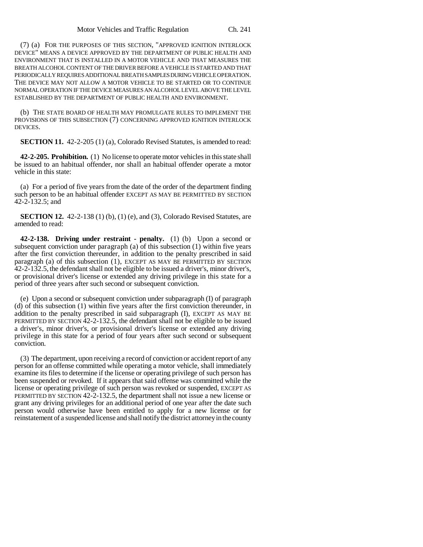(7) (a) FOR THE PURPOSES OF THIS SECTION, "APPROVED IGNITION INTERLOCK DEVICE" MEANS A DEVICE APPROVED BY THE DEPARTMENT OF PUBLIC HEALTH AND ENVIRONMENT THAT IS INSTALLED IN A MOTOR VEHICLE AND THAT MEASURES THE BREATH ALCOHOL CONTENT OF THE DRIVER BEFORE A VEHICLE IS STARTED AND THAT PERIODICALLY REQUIRES ADDITIONAL BREATH SAMPLES DURING VEHICLE OPERATION. THE DEVICE MAY NOT ALLOW A MOTOR VEHICLE TO BE STARTED OR TO CONTINUE NORMAL OPERATION IF THE DEVICE MEASURES AN ALCOHOL LEVEL ABOVE THE LEVEL ESTABLISHED BY THE DEPARTMENT OF PUBLIC HEALTH AND ENVIRONMENT.

(b) THE STATE BOARD OF HEALTH MAY PROMULGATE RULES TO IMPLEMENT THE PROVISIONS OF THIS SUBSECTION (7) CONCERNING APPROVED IGNITION INTERLOCK DEVICES.

**SECTION 11.** 42-2-205 (1) (a), Colorado Revised Statutes, is amended to read:

**42-2-205. Prohibition.** (1) No license to operate motor vehicles in this state shall be issued to an habitual offender, nor shall an habitual offender operate a motor vehicle in this state:

(a) For a period of five years from the date of the order of the department finding such person to be an habitual offender EXCEPT AS MAY BE PERMITTED BY SECTION 42-2-132.5; and

**SECTION 12.** 42-2-138 (1) (b), (1) (e), and (3), Colorado Revised Statutes, are amended to read:

**42-2-138. Driving under restraint - penalty.** (1) (b) Upon a second or subsequent conviction under paragraph  $(a)$  of this subsection  $(1)$  within five years after the first conviction thereunder, in addition to the penalty prescribed in said paragraph (a) of this subsection (1), EXCEPT AS MAY BE PERMITTED BY SECTION 42-2-132.5, the defendant shall not be eligible to be issued a driver's, minor driver's, or provisional driver's license or extended any driving privilege in this state for a period of three years after such second or subsequent conviction.

(e) Upon a second or subsequent conviction under subparagraph (I) of paragraph (d) of this subsection (1) within five years after the first conviction thereunder, in addition to the penalty prescribed in said subparagraph (I), EXCEPT AS MAY BE PERMITTED BY SECTION 42-2-132.5, the defendant shall not be eligible to be issued a driver's, minor driver's, or provisional driver's license or extended any driving privilege in this state for a period of four years after such second or subsequent conviction.

(3) The department, upon receiving a record of conviction or accident report of any person for an offense committed while operating a motor vehicle, shall immediately examine its files to determine if the license or operating privilege of such person has been suspended or revoked. If it appears that said offense was committed while the license or operating privilege of such person was revoked or suspended, EXCEPT AS PERMITTED BY SECTION 42-2-132.5, the department shall not issue a new license or grant any driving privileges for an additional period of one year after the date such person would otherwise have been entitled to apply for a new license or for reinstatement of a suspended license and shall notify the district attorney in the county